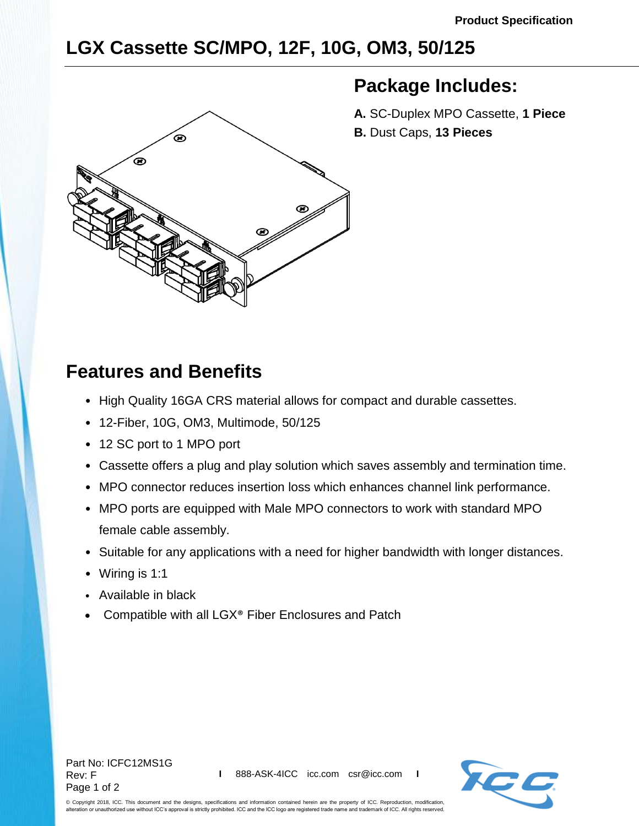## **LGX Cassette SC/MPO, 12F, 10G, OM3, 50/125**



## **Package Includes:**

**A.** SC-Duplex MPO Cassette, **1 Piece B.** Dust Caps, **13 Pieces**

- **Features and Benefits**
	- High Quality 16GA CRS material allows for compact and durable cassettes.
	- 12-Fiber, 10G, OM3, Multimode, 50/125
	- 12 SC port to 1 MPO port
	- Cassette offers a plug and play solution which saves assembly and termination time.
	- MPO connector reduces insertion loss which enhances channel link performance.
	- MPO ports are equipped with Male MPO connectors to work with standard MPO female cable assembly.
	- Suitable for any applications with a need for higher bandwidth with longer distances.
	- Wiring is 1:1
	- Available in black
	- Compatible with all LGX® Fiber Enclosures and Patch



© Copyright 2018, ICC. This document and the designs, specifications and information contained herein are the property of ICC. Reproduction, modification, alteration or unauthorized use without ICC's approval is strictly prohibited. ICC and the ICC logo are registered trade name and trademark of ICC. All rights reserved.